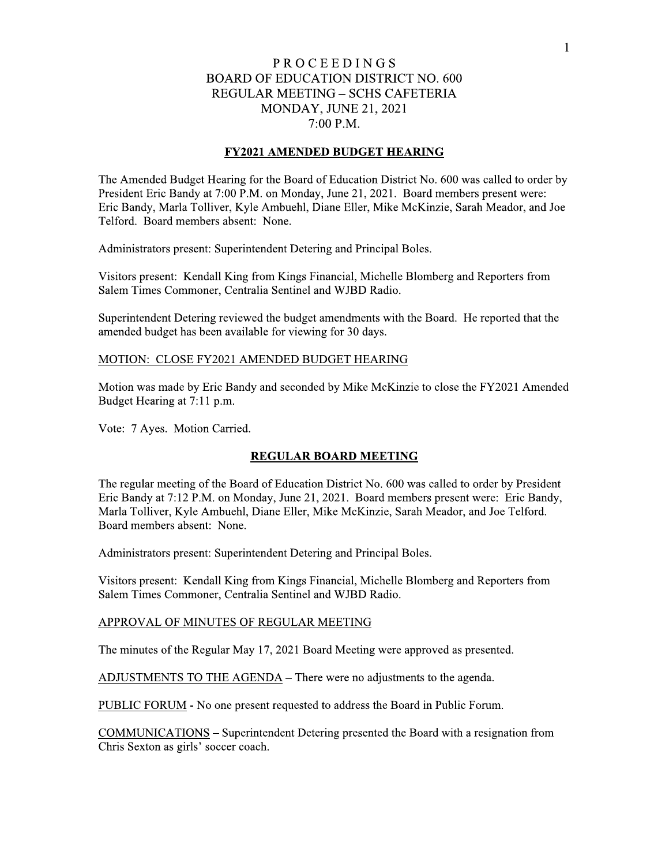# PROCEEDINGS BOARD OF EDUCATION DISTRICT NO. 600 REGULAR MEETING – SCHS CAFETERIA **MONDAY, JUNE 21, 2021** 7:00 P.M.

P R O C E E D I N G S<br>
BOARD OF EDUCATION DISTRICT NO. 600<br>
REGULAR MEETING – SCHS CAFETERIA<br>
MONDAY, JUNE 21, 2021<br>
7:00 P.M.<br> **FY2021 AMENDED BUDGET HEARING**<br>
Budget Hearing for the Board of Education District No. 600 wa The Amended Budget Hearing for the Board of Education District No. 600 was called to order by President Eric Bandy at  $/0.00$  P.M. on Monday, June  $21, 2021$ . Board members present were: Eric Bandy, Marla Tolliver, Kyle Ambuehl, Diane Eller, Mike McKinzie, Sarah Meador, and Joe Telford. Board members absent: None.

Administrators present: Superintendent Detering and Principal Boles.

Visitors present: Kendall King from Kings Financial, Michelle Blomberg and Reporters from Salem Times Commoner, Centralia Sentinel and WJBD Radio.

Superintendent Detering reviewed the budget amendments with the Board. He reported that the amended budget has been available for viewing for 30 days.

# <u> MOTION: CLOSE FY2021 AMENDED BUDGET HEARING</u>

Motion was made by Eric Bandy and seconded by Mike McKinzie to close the FY2021 Amended Budget Hearing at 7:11 p.m.

Vote: 7 Ayes. Motion Carried.

MENDED BUDGET HEARING<br>
y and seconded by Mike McKinzie to close the FY2021<br>
REGULAR BOARD MEETING<br>
rd of Education District No. 600 was called to order by I<br>
rday, June 21, 2021. Board members present were: Eri<br>
Diane Elle The regular meeting of the Board of Education District No. 600 was called to order by President Eric Bandy at /:12 P.M. on Monday, June 21, 2021. Board members present were: Eric Bandy, Marla Tolliver, Kyle Ambuehl, Diane Eller, Mike McKinzie, Sarah Meador, and Joe Telford. Board members absent: None.

Administrators present: Superintendent Detering and Principal Boles.

Visitors present: Kendall King from Kings Financial, Michelle Blomberg and Reporters from Salem Times Commoner, Centralia Sentinel and WJBD Radio.

# <u>APPROVAL OF MINUTES OF REGULAR MEETING</u>

The minutes of the Regular May 17, 2021 Board Meeting were approved as presented.

ADJUSTMENTS TO THE AGENDA – There were no adjustments to the agenda.

<u>PUBLIC FORUM</u> - No one present requested to address the Board in Public Forum.

**COMMUNICATIONS** – Superintendent Detering presented the Board with a resignation from Chris Sexton as girls' soccer coach.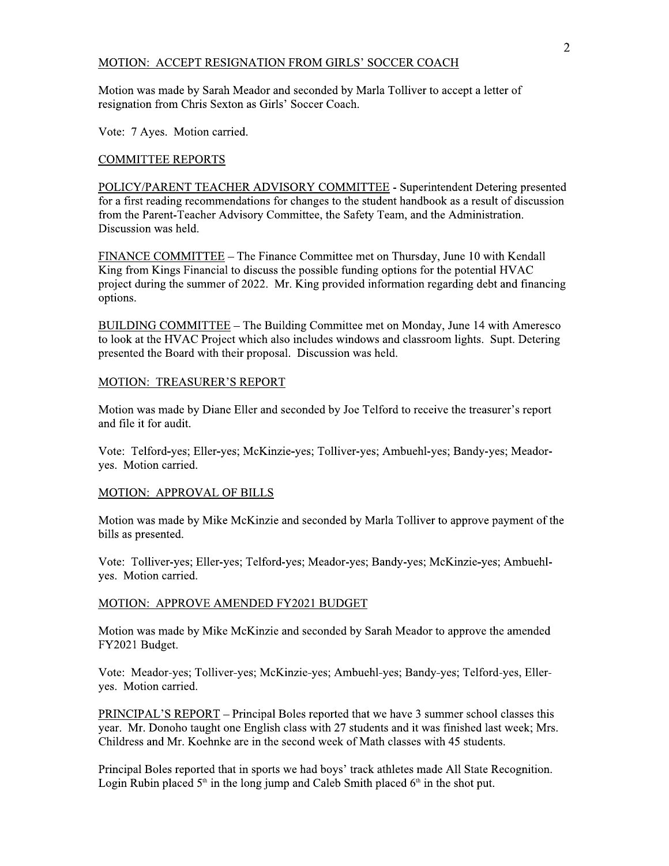## MOTION: ACCEPT RESIGNATION FROM GIRLS' SOCCER COACH

Motion was made by Sarah Meador and seconded by Marla Tolliver to accept a letter of resignation from Chris Sexton as Girls' Soccer Coach.

Vote: 7 Ayes. Motion carried.

## **COMMITTEE REPORTS**

POLICY/PARENT TEACHER ADVISORY COMMITTEE - Superintendent Detering presented for a first reading recommendations for changes to the student handbook as a result of discussion from the Parent-Teacher Advisory Committee, the Safety Team, and the Administration. Discussion was held.

FINANCE COMMITTEE – The Finance Committee met on Thursday, June 10 with Kendall King from Kings Financial to discuss the possible funding options for the potential HVAC project during the summer of 2022. Mr. King provided information regarding debt and financing options.

BUILDING COMMITTEE – The Building Committee met on Monday, June 14 with Ameresco to look at the HVAC Project which also includes windows and classroom lights. Supt. Detering presented the Board with their proposal. Discussion was held.

### MOTION: TREASURER'S REPORT

Motion was made by Diane Eller and seconded by Joe Telford to receive the treasurer's report and file it for audit.

Vote: Telford-yes; Eller-yes; McKinzie-yes; Tolliver-yes; Ambuehl-yes; Bandy-yes; Meadorves. Motion carried.

## MOTION: APPROVAL OF BILLS

Motion was made by Mike McKinzie and seconded by Marla Tolliver to approve payment of the bills as presented.

Vote: Tolliver-yes; Eller-yes; Telford-yes; Meador-yes; Bandy-yes; McKinzie-yes; Ambuehlyes. Motion carried.

### MOTION: APPROVE AMENDED FY2021 BUDGET

Motion was made by Mike McKinzie and seconded by Sarah Meador to approve the amended FY2021 Budget.

Vote: Meador-yes; Tolliver-yes; McKinzie-yes; Ambuehl-yes; Bandy-yes; Telford-yes, Elleryes. Motion carried.

PRINCIPAL'S REPORT – Principal Boles reported that we have 3 summer school classes this year. Mr. Donoho taught one English class with 27 students and it was finished last week; Mrs. Childress and Mr. Koehnke are in the second week of Math classes with 45 students.

Principal Boles reported that in sports we had boys' track athletes made All State Recognition. Login Rubin placed  $5<sup>th</sup>$  in the long jump and Caleb Smith placed  $6<sup>th</sup>$  in the shot put.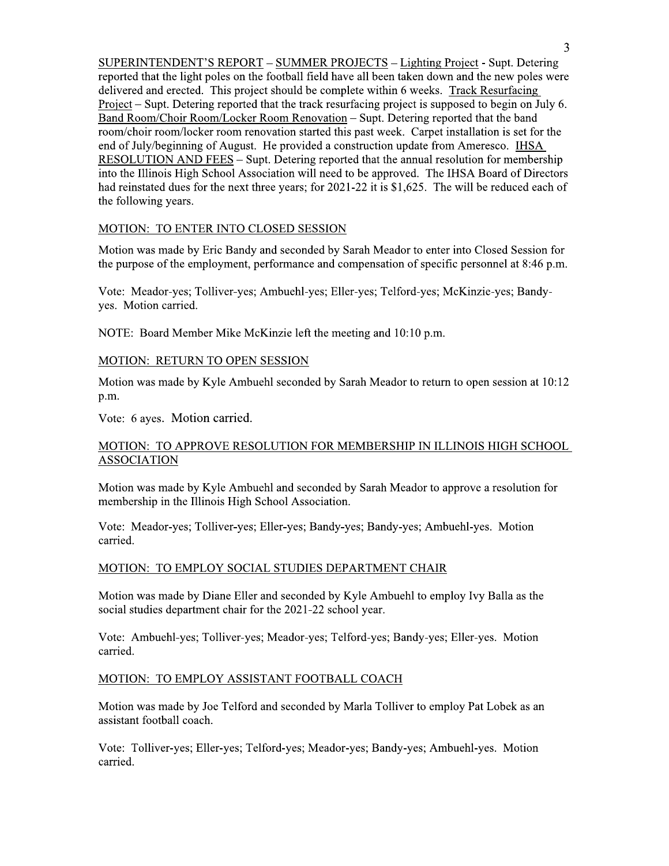SUPERINTENDENT'S REPORT – SUMMER PROJECTS – Lighting Project - Supt. Detering reported that the light poles on the football field have all been taken down and the new poles were delivered and erected. This project should be complete within 6 weeks. Track Resurfacing Project – Supt. Detering reported that the track resurfacing project is supposed to begin on July 6. Band Room/Choir Room/Locker Room Renovation – Supt. Detering reported that the band room/choir room/locker room renovation started this past week. Carpet installation is set for the end of July/beginning of August. He provided a construction update from Ameresco. IHSA RESOLUTION AND FEES – Supt. Detering reported that the annual resolution for membership into the Illinois High School Association will need to be approved. The IHSA Board of Directors had reinstated dues for the next three years; for 2021-22 it is \$1,625. The will be reduced each of the following years.

## MOTION: TO ENTER INTO CLOSED SESSION

Motion was made by Eric Bandy and seconded by Sarah Meador to enter into Closed Session for the purpose of the employment, performance and compensation of specific personnel at 8:46 p.m.

Vote: Meador-yes; Tolliver-yes; Ambuehl-yes; Eller-yes; Telford-yes; McKinzie-yes; Bandyyes. Motion carried.

NOTE: Board Member Mike McKinzie left the meeting and 10:10 p.m.

## MOTION: RETURN TO OPEN SESSION

Motion was made by Kyle Ambuehl seconded by Sarah Meador to return to open session at 10:12 p.m.

Vote: 6 ayes. Motion carried.

## MOTION: TO APPROVE RESOLUTION FOR MEMBERSHIP IN ILLINOIS HIGH SCHOOL **ASSOCIATION**

Motion was made by Kyle Ambuehl and seconded by Sarah Meador to approve a resolution for membership in the Illinois High School Association.

Vote: Meador-yes; Tolliver-yes; Eller-yes; Bandy-yes; Bandy-yes; Ambuehl-yes. Motion carried.

## MOTION: TO EMPLOY SOCIAL STUDIES DEPARTMENT CHAIR

Motion was made by Diane Eller and seconded by Kyle Ambuehl to employ Ivy Balla as the social studies department chair for the 2021-22 school year.

Vote: Ambuehl-yes; Tolliver-yes; Meador-yes; Telford-yes; Bandy-yes; Eller-yes. Motion carried.

## MOTION: TO EMPLOY ASSISTANT FOOTBALL COACH

Motion was made by Joe Telford and seconded by Marla Tolliver to employ Pat Lobek as an assistant football coach.

Vote: Tolliver-yes; Eller-yes; Telford-yes; Meador-yes; Bandy-yes; Ambuehl-yes. Motion carried.